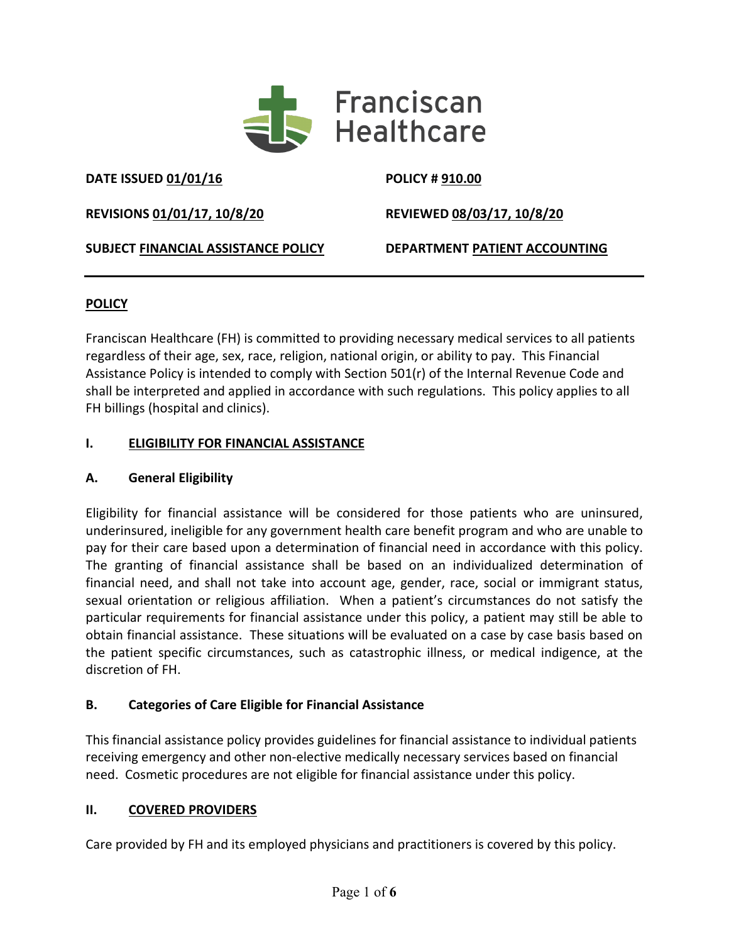

**DATE ISSUED 01/01/16 POLICY # 910.00**

**REVISIONS 01/01/17, 10/8/20 REVIEWED 08/03/17, 10/8/20**

**SUBJECT FINANCIAL ASSISTANCE POLICY DEPARTMENT PATIENT ACCOUNTING**

# **POLICY**

Franciscan Healthcare (FH) is committed to providing necessary medical services to all patients regardless of their age, sex, race, religion, national origin, or ability to pay. This Financial Assistance Policy is intended to comply with Section 501(r) of the Internal Revenue Code and shall be interpreted and applied in accordance with such regulations. This policy applies to all FH billings (hospital and clinics).

# **I. ELIGIBILITY FOR FINANCIAL ASSISTANCE**

# **A. General Eligibility**

Eligibility for financial assistance will be considered for those patients who are uninsured, underinsured, ineligible for any government health care benefit program and who are unable to pay for their care based upon a determination of financial need in accordance with this policy. The granting of financial assistance shall be based on an individualized determination of financial need, and shall not take into account age, gender, race, social or immigrant status, sexual orientation or religious affiliation. When a patient's circumstances do not satisfy the particular requirements for financial assistance under this policy, a patient may still be able to obtain financial assistance. These situations will be evaluated on a case by case basis based on the patient specific circumstances, such as catastrophic illness, or medical indigence, at the discretion of FH.

# **B. Categories of Care Eligible for Financial Assistance**

This financial assistance policy provides guidelines for financial assistance to individual patients receiving emergency and other non-elective medically necessary services based on financial need. Cosmetic procedures are not eligible for financial assistance under this policy.

# **II. COVERED PROVIDERS**

Care provided by FH and its employed physicians and practitioners is covered by this policy.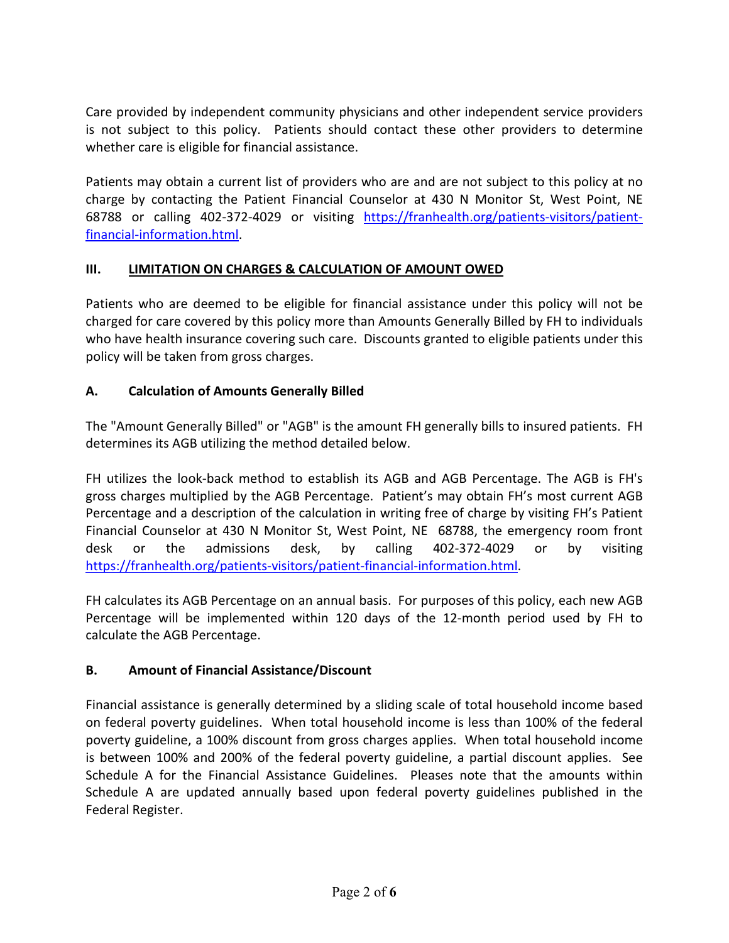Care provided by independent community physicians and other independent service providers is not subject to this policy. Patients should contact these other providers to determine whether care is eligible for financial assistance.

Patients may obtain a current list of providers who are and are not subject to this policy at no charge by contacting the Patient Financial Counselor at 430 N Monitor St, West Point, NE 68788 or calling 402-372-4029 or visiting [https://franhealth.org/patients-visitors/patient](https://franhealth.org/patients-visitors/patient-financial-information.html)[financial-information.html.](https://franhealth.org/patients-visitors/patient-financial-information.html)

## **III. LIMITATION ON CHARGES & CALCULATION OF AMOUNT OWED**

Patients who are deemed to be eligible for financial assistance under this policy will not be charged for care covered by this policy more than Amounts Generally Billed by FH to individuals who have health insurance covering such care. Discounts granted to eligible patients under this policy will be taken from gross charges.

## **A. Calculation of Amounts Generally Billed**

The "Amount Generally Billed" or "AGB" is the amount FH generally bills to insured patients. FH determines its AGB utilizing the method detailed below.

FH utilizes the look-back method to establish its AGB and AGB Percentage. The AGB is FH's gross charges multiplied by the AGB Percentage. Patient's may obtain FH's most current AGB Percentage and a description of the calculation in writing free of charge by visiting FH's Patient Financial Counselor at 430 N Monitor St, West Point, NE 68788, the emergency room front desk or the admissions desk, by calling 402-372-4029 or by visiting [https://franhealth.org/patients-visitors/patient-financial-information.html.](https://franhealth.org/patients-visitors/patient-financial-information.html)

FH calculates its AGB Percentage on an annual basis. For purposes of this policy, each new AGB Percentage will be implemented within 120 days of the 12-month period used by FH to calculate the AGB Percentage.

#### **B. Amount of Financial Assistance/Discount**

Financial assistance is generally determined by a sliding scale of total household income based on federal poverty guidelines. When total household income is less than 100% of the federal poverty guideline, a 100% discount from gross charges applies. When total household income is between 100% and 200% of the federal poverty guideline, a partial discount applies. See Schedule A for the Financial Assistance Guidelines. Pleases note that the amounts within Schedule A are updated annually based upon federal poverty guidelines published in the Federal Register.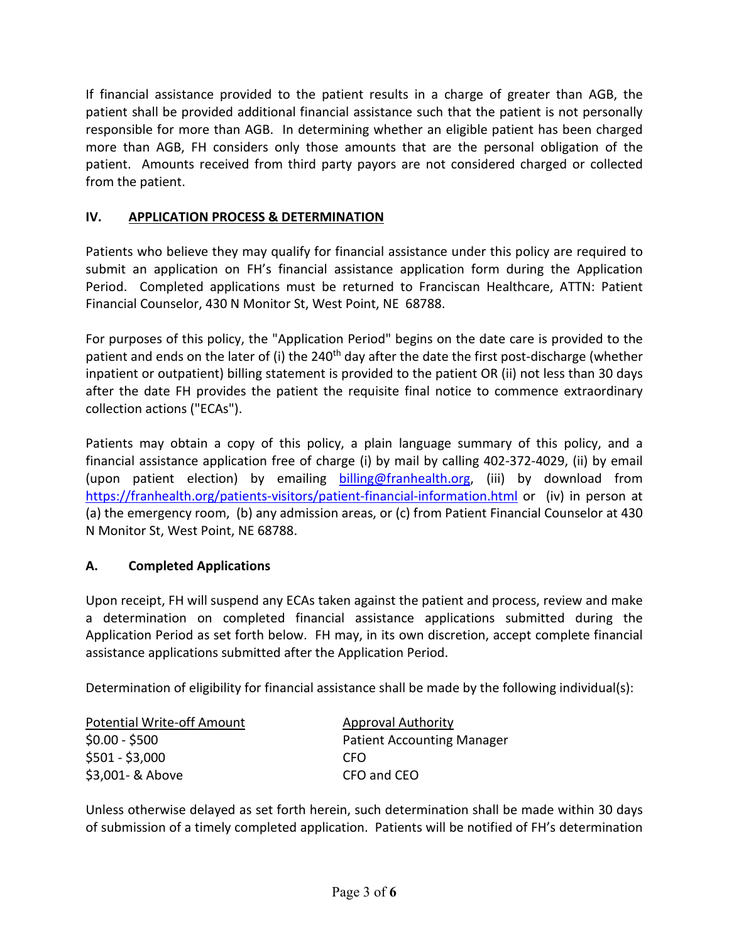If financial assistance provided to the patient results in a charge of greater than AGB, the patient shall be provided additional financial assistance such that the patient is not personally responsible for more than AGB. In determining whether an eligible patient has been charged more than AGB, FH considers only those amounts that are the personal obligation of the patient. Amounts received from third party payors are not considered charged or collected from the patient.

## **IV. APPLICATION PROCESS & DETERMINATION**

Patients who believe they may qualify for financial assistance under this policy are required to submit an application on FH's financial assistance application form during the Application Period. Completed applications must be returned to Franciscan Healthcare, ATTN: Patient Financial Counselor, 430 N Monitor St, West Point, NE 68788.

For purposes of this policy, the "Application Period" begins on the date care is provided to the patient and ends on the later of (i) the 240<sup>th</sup> day after the date the first post-discharge (whether inpatient or outpatient) billing statement is provided to the patient OR (ii) not less than 30 days after the date FH provides the patient the requisite final notice to commence extraordinary collection actions ("ECAs").

Patients may obtain a copy of this policy, a plain language summary of this policy, and a financial assistance application free of charge (i) by mail by calling 402-372-4029, (ii) by email (upon patient election) by emailing [billing@franhealth.org,](mailto:billing@franhealth.org) (iii) by download from <https://franhealth.org/patients-visitors/patient-financial-information.html> or (iv) in person at (a) the emergency room, (b) any admission areas, or (c) from Patient Financial Counselor at 430 N Monitor St, West Point, NE 68788.

# **A. Completed Applications**

Upon receipt, FH will suspend any ECAs taken against the patient and process, review and make a determination on completed financial assistance applications submitted during the Application Period as set forth below. FH may, in its own discretion, accept complete financial assistance applications submitted after the Application Period.

Determination of eligibility for financial assistance shall be made by the following individual(s):

| <b>Potential Write-off Amount</b> | <b>Approval Authority</b>         |  |  |
|-----------------------------------|-----------------------------------|--|--|
| $$0.00 - $500$                    | <b>Patient Accounting Manager</b> |  |  |
| $$501 - $3,000$                   | CFO.                              |  |  |
| \$3,001 - & Above                 | CFO and CEO                       |  |  |

Unless otherwise delayed as set forth herein, such determination shall be made within 30 days of submission of a timely completed application. Patients will be notified of FH's determination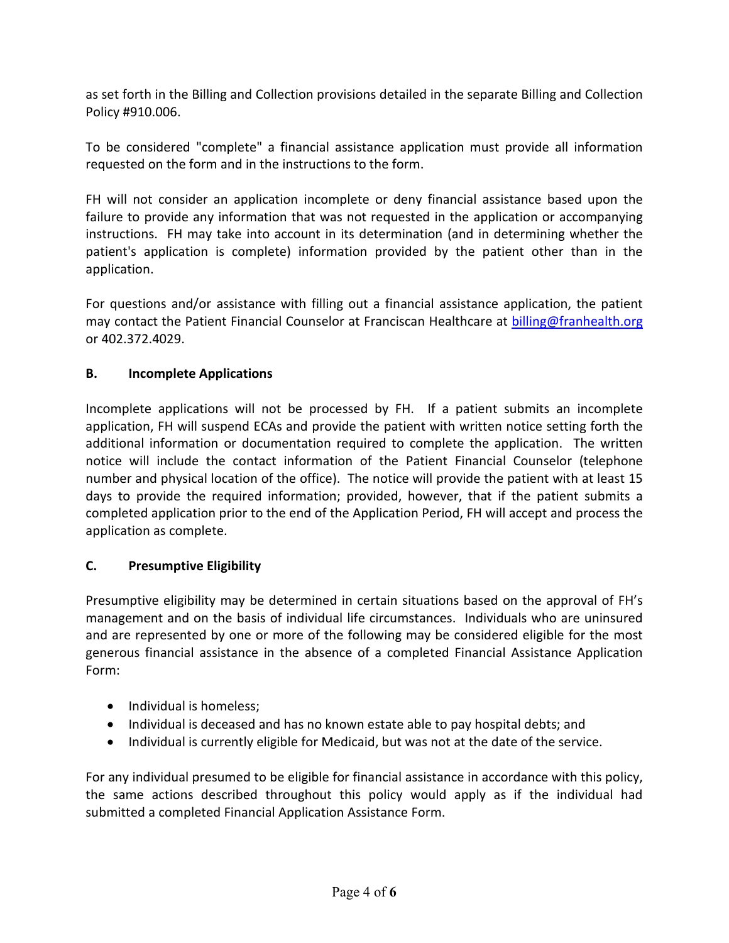as set forth in the Billing and Collection provisions detailed in the separate Billing and Collection Policy #910.006.

To be considered "complete" a financial assistance application must provide all information requested on the form and in the instructions to the form.

FH will not consider an application incomplete or deny financial assistance based upon the failure to provide any information that was not requested in the application or accompanying instructions. FH may take into account in its determination (and in determining whether the patient's application is complete) information provided by the patient other than in the application.

For questions and/or assistance with filling out a financial assistance application, the patient may contact the Patient Financial Counselor at Franciscan Healthcare at [billing@franhealth.org](mailto:billing@franhealth.org) or 402.372.4029.

#### **B. Incomplete Applications**

Incomplete applications will not be processed by FH. If a patient submits an incomplete application, FH will suspend ECAs and provide the patient with written notice setting forth the additional information or documentation required to complete the application. The written notice will include the contact information of the Patient Financial Counselor (telephone number and physical location of the office). The notice will provide the patient with at least 15 days to provide the required information; provided, however, that if the patient submits a completed application prior to the end of the Application Period, FH will accept and process the application as complete.

#### **C. Presumptive Eligibility**

Presumptive eligibility may be determined in certain situations based on the approval of FH's management and on the basis of individual life circumstances. Individuals who are uninsured and are represented by one or more of the following may be considered eligible for the most generous financial assistance in the absence of a completed Financial Assistance Application Form:

- Individual is homeless;
- Individual is deceased and has no known estate able to pay hospital debts; and
- Individual is currently eligible for Medicaid, but was not at the date of the service.

For any individual presumed to be eligible for financial assistance in accordance with this policy, the same actions described throughout this policy would apply as if the individual had submitted a completed Financial Application Assistance Form.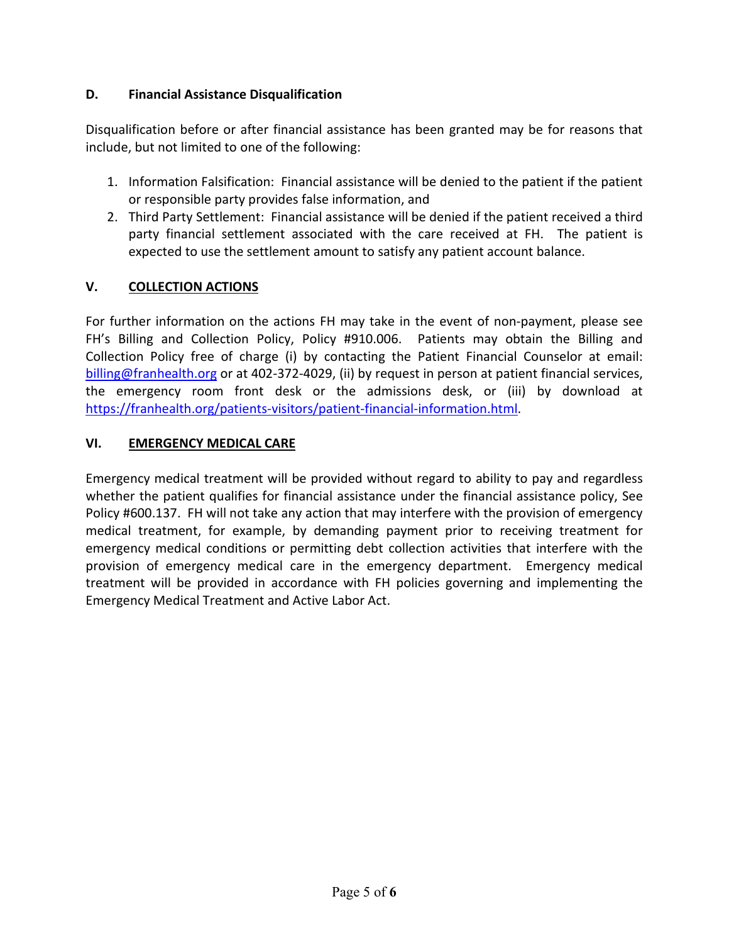## **D. Financial Assistance Disqualification**

Disqualification before or after financial assistance has been granted may be for reasons that include, but not limited to one of the following:

- 1. Information Falsification: Financial assistance will be denied to the patient if the patient or responsible party provides false information, and
- 2. Third Party Settlement: Financial assistance will be denied if the patient received a third party financial settlement associated with the care received at FH. The patient is expected to use the settlement amount to satisfy any patient account balance.

## **V. COLLECTION ACTIONS**

For further information on the actions FH may take in the event of non-payment, please see FH's Billing and Collection Policy, Policy #910.006. Patients may obtain the Billing and Collection Policy free of charge (i) by contacting the Patient Financial Counselor at email: [billing@franhealth.org](mailto:billing@franhealth.org) or at 402-372-4029, (ii) by request in person at patient financial services, the emergency room front desk or the admissions desk, or (iii) by download at [https://franhealth.org/patients-visitors/patient-financial-information.html.](https://franhealth.org/patients-visitors/patient-financial-information.html)

#### **VI. EMERGENCY MEDICAL CARE**

Emergency medical treatment will be provided without regard to ability to pay and regardless whether the patient qualifies for financial assistance under the financial assistance policy, See Policy #600.137. FH will not take any action that may interfere with the provision of emergency medical treatment, for example, by demanding payment prior to receiving treatment for emergency medical conditions or permitting debt collection activities that interfere with the provision of emergency medical care in the emergency department. Emergency medical treatment will be provided in accordance with FH policies governing and implementing the Emergency Medical Treatment and Active Labor Act.